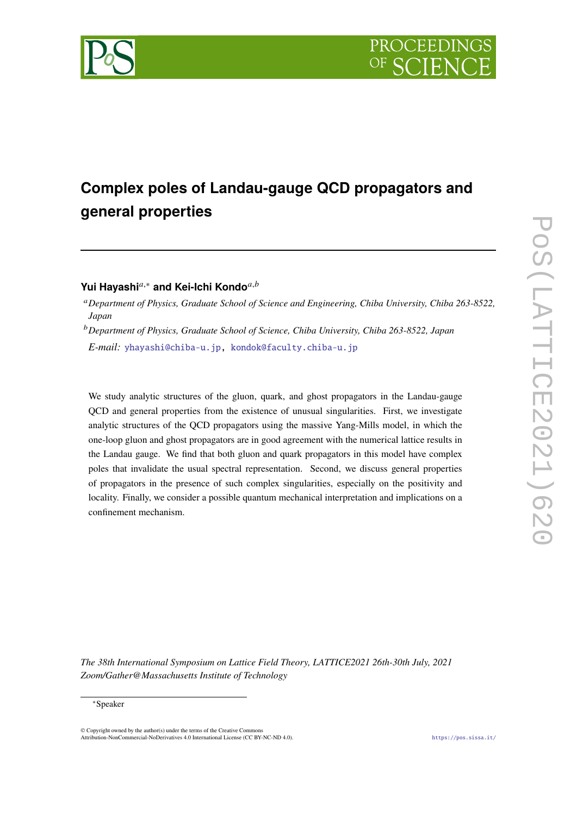

# **Complex poles of Landau-gauge QCD propagators and general properties**

# Yui Havashi<sup>a,∗</sup> and Kei-Ichi Kondo<sup>*a,b*</sup>

<sup>𝑎</sup>*Department of Physics, Graduate School of Science and Engineering, Chiba University, Chiba 263-8522, Japan*

<sup>𝑏</sup>*Department of Physics, Graduate School of Science, Chiba University, Chiba 263-8522, Japan*

*E-mail:* [yhayashi@chiba-u.jp,](mailto:yhayashi@chiba-u.jp) [kondok@faculty.chiba-u.jp](mailto:kondok@faculty.chiba-u.jp)

We study analytic structures of the gluon, quark, and ghost propagators in the Landau-gauge QCD and general properties from the existence of unusual singularities. First, we investigate analytic structures of the QCD propagators using the massive Yang-Mills model, in which the one-loop gluon and ghost propagators are in good agreement with the numerical lattice results in the Landau gauge. We find that both gluon and quark propagators in this model have complex poles that invalidate the usual spectral representation. Second, we discuss general properties of propagators in the presence of such complex singularities, especially on the positivity and locality. Finally, we consider a possible quantum mechanical interpretation and implications on a confinement mechanism.

*The 38th International Symposium on Lattice Field Theory, LATTICE2021 26th-30th July, 2021 Zoom/Gather@Massachusetts Institute of Technology*

#### <sup>∗</sup>Speaker

 $\odot$  Copyright owned by the author(s) under the terms of the Creative Common Attribution-NonCommercial-NoDerivatives 4.0 International License (CC BY-NC-ND 4.0). <https://pos.sissa.it/>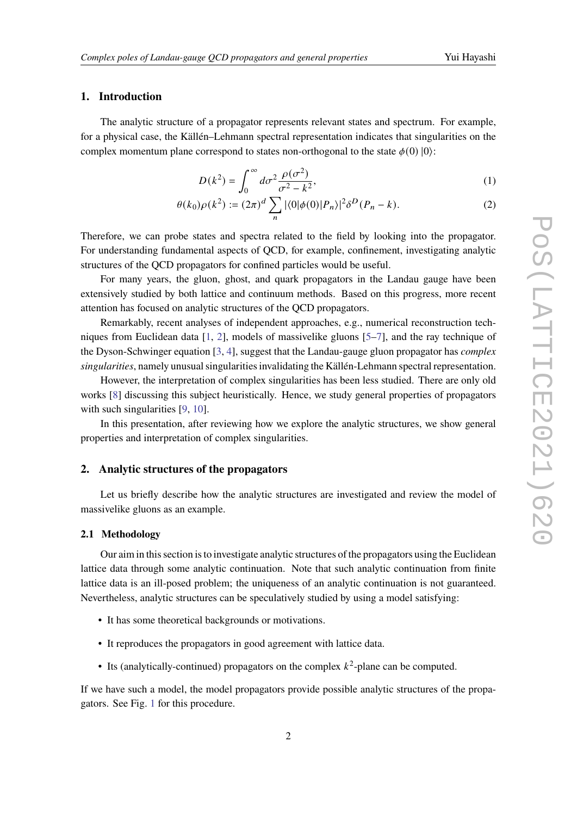## **1. Introduction**

The analytic structure of a propagator represents relevant states and spectrum. For example, for a physical case, the Källén–Lehmann spectral representation indicates that singularities on the complex momentum plane correspond to states non-orthogonal to the state  $\phi(0)$  |0):

<span id="page-1-0"></span>
$$
D(k^2) = \int_0^\infty d\sigma^2 \frac{\rho(\sigma^2)}{\sigma^2 - k^2},\tag{1}
$$

$$
\theta(k_0)\rho(k^2) := (2\pi)^d \sum_n |\langle 0|\phi(0)|P_n\rangle|^2 \delta^D(P_n - k).
$$
 (2)

Therefore, we can probe states and spectra related to the field by looking into the propagator. For understanding fundamental aspects of QCD, for example, confinement, investigating analytic structures of the QCD propagators for confined particles would be useful.

For many years, the gluon, ghost, and quark propagators in the Landau gauge have been extensively studied by both lattice and continuum methods. Based on this progress, more recent attention has focused on analytic structures of the QCD propagators.

Remarkably, recent analyses of independent approaches, e.g., numerical reconstruction techniques from Euclidean data [\[1,](#page-7-0) [2\]](#page-7-1), models of massivelike gluons [\[5–](#page-7-2)[7\]](#page-7-3), and the ray technique of the Dyson-Schwinger equation [\[3,](#page-7-4) [4\]](#page-7-5), suggest that the Landau-gauge gluon propagator has *complex singularities*, namely unusual singularities invalidating the Källén-Lehmann spectral representation.

However, the interpretation of complex singularities has been less studied. There are only old works [\[8\]](#page-7-6) discussing this subject heuristically. Hence, we study general properties of propagators with such singularities [\[9,](#page-7-7) [10\]](#page-7-8).

In this presentation, after reviewing how we explore the analytic structures, we show general properties and interpretation of complex singularities.

### **2. Analytic structures of the propagators**

Let us briefly describe how the analytic structures are investigated and review the model of massivelike gluons as an example.

#### **2.1 Methodology**

Our aim in this section is to investigate analytic structures of the propagators using the Euclidean lattice data through some analytic continuation. Note that such analytic continuation from finite lattice data is an ill-posed problem; the uniqueness of an analytic continuation is not guaranteed. Nevertheless, analytic structures can be speculatively studied by using a model satisfying:

- It has some theoretical backgrounds or motivations.
- It reproduces the propagators in good agreement with lattice data.
- Its (analytically-continued) propagators on the complex  $k^2$ -plane can be computed.

If we have such a model, the model propagators provide possible analytic structures of the propagators. See Fig. [1](#page-2-0) for this procedure.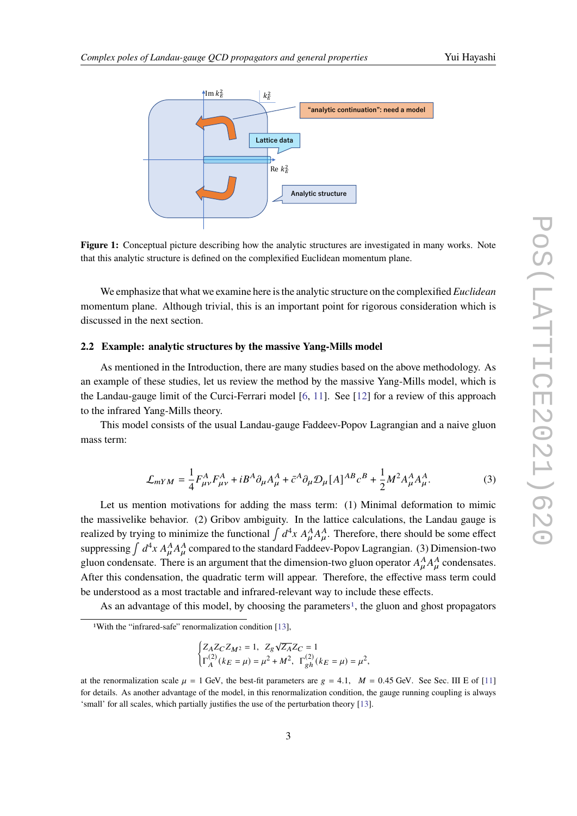<span id="page-2-0"></span>

Figure 1: Conceptual picture describing how the analytic structures are investigated in many works. Note that this analytic structure is defined on the complexified Euclidean momentum plane.

We emphasize that what we examine here is the analytic structure on the complexified *Euclidean* momentum plane. Although trivial, this is an important point for rigorous consideration which is discussed in the next section.

#### **2.2 Example: analytic structures by the massive Yang-Mills model**

As mentioned in the Introduction, there are many studies based on the above methodology. As an example of these studies, let us review the method by the massive Yang-Mills model, which is the Landau-gauge limit of the Curci-Ferrari model [\[6,](#page-7-9) [11\]](#page-7-10). See [\[12\]](#page-8-0) for a review of this approach to the infrared Yang-Mills theory.

This model consists of the usual Landau-gauge Faddeev-Popov Lagrangian and a naive gluon mass term:

$$
\mathcal{L}_{mYM} = \frac{1}{4} F_{\mu\nu}^A F_{\mu\nu}^A + i B^A \partial_\mu A_\mu^A + \bar{c}^A \partial_\mu \mathcal{D}_\mu [A]^{AB} c^B + \frac{1}{2} M^2 A_\mu^A A_\mu^A. \tag{3}
$$

Let us mention motivations for adding the mass term: (1) Minimal deformation to mimic the massivelike behavior. (2) Gribov ambiguity. In the lattice calculations, the Landau gauge is realized by trying to minimize the functional  $\int d^4x A^A_\mu A^A_\mu$ . Therefore, there should be some effect suppressing  $\int d^4x A^A_\mu A^A_\mu$  compared to the standard Faddeev-Popov Lagrangian. (3) Dimension-two gluon condensate. There is an argument that the dimension-two gluon operator  $A_u^A A_u^A$  condensates. After this condensation, the quadratic term will appear. Therefore, the effective mass term could be understood as a most tractable and infrared-relevant way to include these effects.

As an advantage of this model, by choosing the parameters<sup>[1](#page-2-1)</sup>, the gluon and ghost propagators

$$
\begin{cases} Z_A Z_C Z_{M^2} = 1, \ Z_g \sqrt{Z_A} Z_C = 1 \\ \Gamma_A^{(2)}(k_E = \mu) = \mu^2 + M^2, \ \Gamma_{gh}^{(2)}(k_E = \mu) = \mu^2, \end{cases}
$$

<span id="page-2-1"></span><sup>1</sup>With the "infrared-safe" renormalization condition [\[13\]](#page-8-1),

at the renormalization scale  $\mu = 1$  GeV, the best-fit parameters are  $g = 4.1$ ,  $M = 0.45$  GeV. See Sec. III E of [\[11\]](#page-7-10) for details. As another advantage of the model, in this renormalization condition, the gauge running coupling is always 'small' for all scales, which partially justifies the use of the perturbation theory [\[13\]](#page-8-1).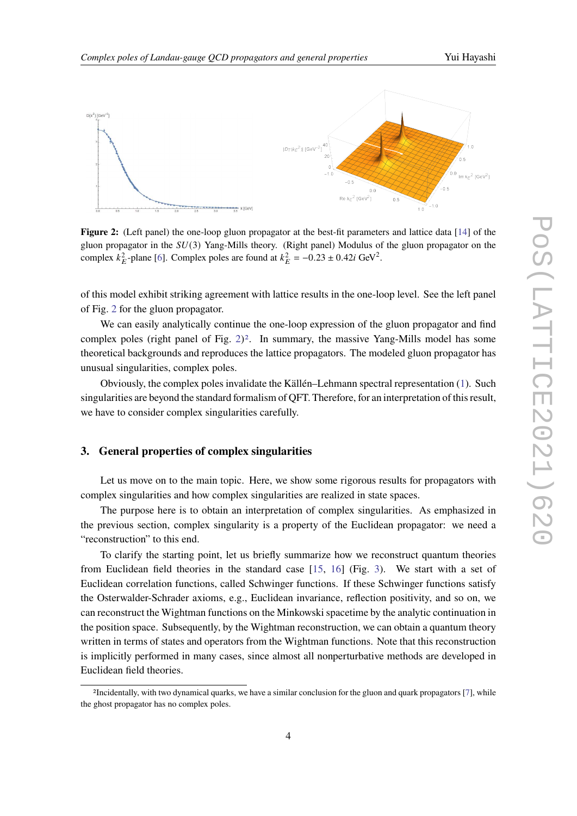<span id="page-3-0"></span>

**Figure 2:** (Left panel) the one-loop gluon propagator at the best-fit parameters and lattice data [\[14\]](#page-8-2) of the gluon propagator in the  $SU(3)$  Yang-Mills theory. (Right panel) Modulus of the gluon propagator on the complex  $k_E^2$ -plane [\[6\]](#page-7-9). Complex poles are found at  $k_E^2 = -0.23 \pm 0.42i \text{ GeV}^2$ .

of this model exhibit striking agreement with lattice results in the one-loop level. See the left panel of Fig. [2](#page-3-0) for the gluon propagator.

We can easily analytically continue the one-loop expression of the gluon propagator and find complex poles (right panel of Fig.  $2)^2$  $2)^2$  $2)^2$ . In summary, the massive Yang-Mills model has some theoretical backgrounds and reproduces the lattice propagators. The modeled gluon propagator has unusual singularities, complex poles.

Obviously, the complex poles invalidate the Källén–Lehmann spectral representation [\(1\)](#page-1-0). Such singularities are beyond the standard formalism of QFT. Therefore, for an interpretation of this result, we have to consider complex singularities carefully.

# **3. General properties of complex singularities**

Let us move on to the main topic. Here, we show some rigorous results for propagators with complex singularities and how complex singularities are realized in state spaces.

The purpose here is to obtain an interpretation of complex singularities. As emphasized in the previous section, complex singularity is a property of the Euclidean propagator: we need a "reconstruction" to this end.

To clarify the starting point, let us briefly summarize how we reconstruct quantum theories from Euclidean field theories in the standard case [\[15,](#page-8-3) [16\]](#page-8-4) (Fig. [3\)](#page-4-0). We start with a set of Euclidean correlation functions, called Schwinger functions. If these Schwinger functions satisfy the Osterwalder-Schrader axioms, e.g., Euclidean invariance, reflection positivity, and so on, we can reconstruct the Wightman functions on the Minkowski spacetime by the analytic continuation in the position space. Subsequently, by the Wightman reconstruction, we can obtain a quantum theory written in terms of states and operators from the Wightman functions. Note that this reconstruction is implicitly performed in many cases, since almost all nonperturbative methods are developed in Euclidean field theories.

<span id="page-3-1"></span><sup>2</sup>Incidentally, with two dynamical quarks, we have a similar conclusion for the gluon and quark propagators [\[7\]](#page-7-3), while the ghost propagator has no complex poles.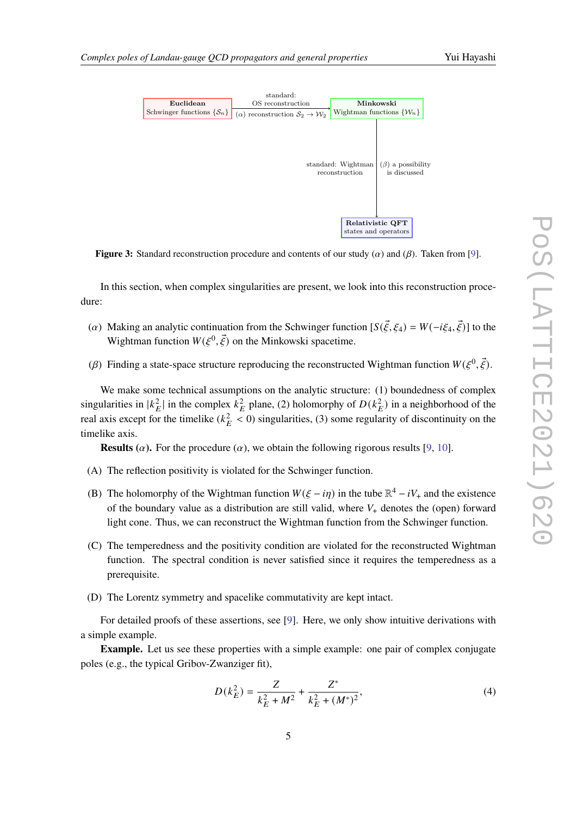<span id="page-4-0"></span>

**Figure 3:** Standard reconstruction procedure and contents of our study  $(\alpha)$  and  $(\beta)$ . Taken from [\[9\]](#page-7-7).

In this section, when complex singularities are present, we look into this reconstruction procedure:

- (a) Making an analytic continuation from the Schwinger function  $[S(\vec{\xi}, \xi_4) = W(-i\xi_4, \vec{\xi})]$  to the Wightman function  $W(\xi^0, \vec{\xi})$  on the Minkowski spacetime.
- ( $\beta$ ) Finding a state-space structure reproducing the reconstructed Wightman function  $W(\xi^0, \vec{\xi})$ .

We make some technical assumptions on the analytic structure: (1) boundedness of complex singularities in  $|k_E^2|$  in the complex  $k_E^2$  plane, (2) holomorphy of  $D(k_E^2)$  in a neighborhood of the real axis except for the timelike ( $k_E^2 < 0$ ) singularities, (3) some regularity of discontinuity on the timelike axis.

**Results** ( $\alpha$ ). For the procedure ( $\alpha$ ), we obtain the following rigorous results [\[9,](#page-7-7) [10\]](#page-7-8).

- (A) The reflection positivity is violated for the Schwinger function.
- (B) The holomorphy of the Wightman function  $W(\xi i\eta)$  in the tube  $\mathbb{R}^4 iV_+$  and the existence of the boundary value as a distribution are still valid, where  $V_{+}$  denotes the (open) forward light cone. Thus, we can reconstruct the Wightman function from the Schwinger function.
- (C) The temperedness and the positivity condition are violated for the reconstructed Wightman function. The spectral condition is never satisfied since it requires the temperedness as a prerequisite.
- (D) The Lorentz symmetry and spacelike commutativity are kept intact.

For detailed proofs of these assertions, see [\[9\]](#page-7-7). Here, we only show intuitive derivations with a simple example.

**Example.** Let us see these properties with a simple example: one pair of complex conjugate poles (e.g., the typical Gribov-Zwanziger fit),

$$
D(k_E^2) = \frac{Z}{k_E^2 + M^2} + \frac{Z^*}{k_E^2 + (M^*)^2},\tag{4}
$$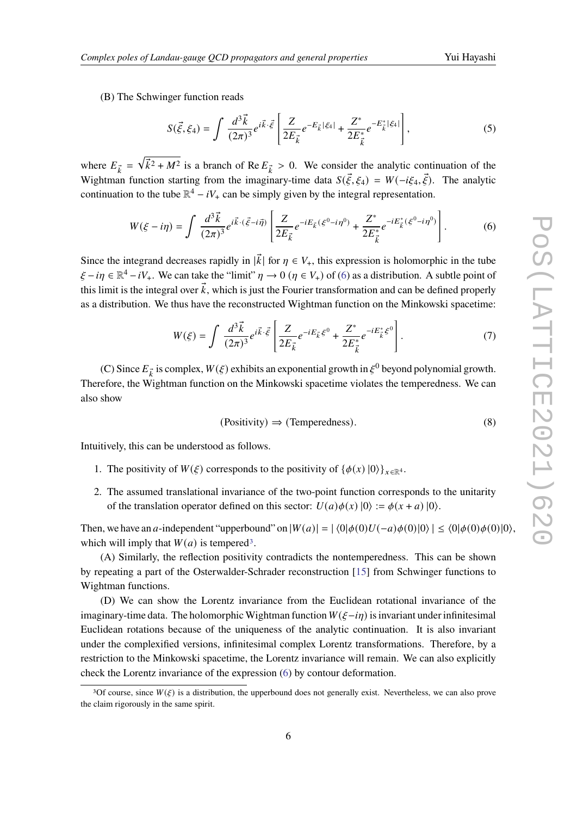(B) The Schwinger function reads

$$
S(\vec{\xi}, \xi_4) = \int \frac{d^3 \vec{k}}{(2\pi)^3} e^{i\vec{k}\cdot\vec{\xi}} \left[ \frac{Z}{2E_{\vec{k}}} e^{-E_{\vec{k}}|\xi_4|} + \frac{Z^*}{2E_{\vec{k}}^*} e^{-E_{\vec{k}}^*|\xi_4|} \right],
$$
(5)

where  $E_{\vec{k}} = \sqrt{\vec{k}^2 + M^2}$  is a branch of Re  $E_{\vec{k}} > 0$ . We consider the analytic continuation of the Wightman function starting from the imaginary-time data  $S(\vec{\xi}, \xi_4) = W(-i\xi_4, \vec{\xi})$ . The analytic continuation to the tube  $\mathbb{R}^4 - iV_+$  can be simply given by the integral representation.

$$
W(\xi - i\eta) = \int \frac{d^3 \vec{k}}{(2\pi)^3} e^{i\vec{k} \cdot (\vec{\xi} - i\vec{\eta})} \left[ \frac{Z}{2E_{\vec{k}}} e^{-iE_{\vec{k}}(\xi^0 - i\eta^0)} + \frac{Z^*}{2E_{\vec{k}}^*} e^{-iE_{\vec{k}}^*(\xi^0 - i\eta^0)} \right].
$$
 (6)

Since the integrand decreases rapidly in  $|\vec{k}|$  for  $\eta \in V_+$ , this expression is holomorphic in the tube  $\xi - i\eta \in \mathbb{R}^4 - iV_+$ . We can take the "limit"  $\eta \to 0$  ( $\eta \in V_+$ ) of [\(6\)](#page-5-0) as a distribution. A subtle point of this limit is the integral over  $\vec{k}$ , which is just the Fourier transformation and can be defined properly as a distribution. We thus have the reconstructed Wightman function on the Minkowski spacetime:

<span id="page-5-0"></span>
$$
W(\xi) = \int \frac{d^3 \vec{k}}{(2\pi)^3} e^{i\vec{k}\cdot\vec{\xi}} \left[ \frac{Z}{2E_{\vec{k}}} e^{-iE_{\vec{k}}\xi^0} + \frac{Z^*}{2E_{\vec{k}}^*} e^{-iE_{\vec{k}}^* \xi^0} \right].
$$
 (7)

(C) Since  $E_{\vec{k}}$  is complex,  $W(\xi)$  exhibits an exponential growth in  $\xi^0$  beyond polynomial growth. Therefore, the Wightman function on the Minkowski spacetime violates the temperedness. We can also show

<span id="page-5-2"></span>
$$
(Positivity) \Rightarrow (Temperedness). \tag{8}
$$

Intuitively, this can be understood as follows.

- 1. The positivity of  $W(\xi)$  corresponds to the positivity of  $\{\phi(x) | 0\rangle\}_{x \in \mathbb{R}^4}$ .
- 2. The assumed translational invariance of the two-point function corresponds to the unitarity of the translation operator defined on this sector:  $U(a)\phi(x)$   $|0\rangle := \phi(x + a)$   $|0\rangle$ .

Then, we have an a-independent "upperbound" on  $|W(a)| = |\langle 0|\phi(0)U(-a)\phi(0)|0 \rangle| \le \langle 0|\phi(0)\phi(0)|0 \rangle$ , which will imply that  $W(a)$  is tempered<sup>[3](#page-5-1)</sup>.

(A) Similarly, the reflection positivity contradicts the nontemperedness. This can be shown by repeating a part of the Osterwalder-Schrader reconstruction [\[15\]](#page-8-3) from Schwinger functions to Wightman functions.

(D) We can show the Lorentz invariance from the Euclidean rotational invariance of the imaginary-time data. The holomorphic Wightman function  $W(\xi-i\eta)$  is invariant under infinitesimal Euclidean rotations because of the uniqueness of the analytic continuation. It is also invariant under the complexified versions, infinitesimal complex Lorentz transformations. Therefore, by a restriction to the Minkowski spacetime, the Lorentz invariance will remain. We can also explicitly check the Lorentz invariance of the expression [\(6\)](#page-5-0) by contour deformation.

<span id="page-5-1"></span><sup>&</sup>lt;sup>3</sup>Of course, since  $W(\xi)$  is a distribution, the upperbound does not generally exist. Nevertheless, we can also prove the claim rigorously in the same spirit.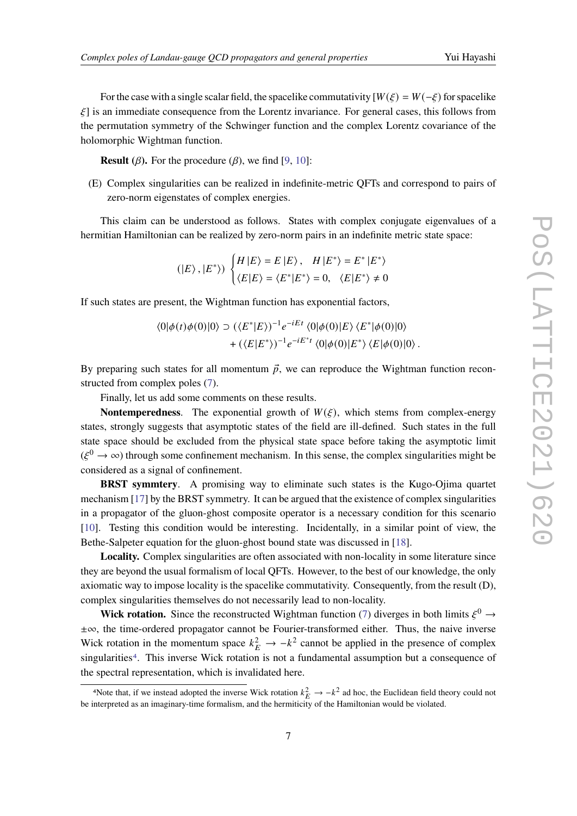For the case with a single scalar field, the spacelike commutativity  $[W(\xi) = W(-\xi)]$  for spacelike  $\xi$ ] is an immediate consequence from the Lorentz invariance. For general cases, this follows from the permutation symmetry of the Schwinger function and the complex Lorentz covariance of the holomorphic Wightman function.

**Result** ( $\beta$ ). For the procedure ( $\beta$ ), we find [\[9,](#page-7-7) [10\]](#page-7-8):

(E) Complex singularities can be realized in indefinite-metric QFTs and correspond to pairs of zero-norm eigenstates of complex energies.

This claim can be understood as follows. States with complex conjugate eigenvalues of a hermitian Hamiltonian can be realized by zero-norm pairs in an indefinite metric state space:

$$
(|E\rangle, |E^*\rangle) \begin{cases} H|E\rangle = E|E\rangle, & H|E^*\rangle = E^*|E^*\rangle\\ \langle E|E\rangle = \langle E^*|E^*\rangle = 0, & \langle E|E^*\rangle \neq 0 \end{cases}
$$

If such states are present, the Wightman function has exponential factors,

$$
\langle 0|\phi(t)\phi(0)|0\rangle \supset (\langle E^*|E\rangle)^{-1}e^{-iEt} \langle 0|\phi(0)|E\rangle \langle E^*|\phi(0)|0\rangle + (\langle E|E^*\rangle)^{-1}e^{-iE^*t} \langle 0|\phi(0)|E^*\rangle \langle E|\phi(0)|0\rangle.
$$

By preparing such states for all momentum  $\vec{p}$ , we can reproduce the Wightman function reconstructed from complex poles [\(7\)](#page-5-2).

Finally, let us add some comments on these results.

**Nontemperedness.** The exponential growth of  $W(\xi)$ , which stems from complex-energy states, strongly suggests that asymptotic states of the field are ill-defined. Such states in the full state space should be excluded from the physical state space before taking the asymptotic limit  $(\xi^0 \to \infty)$  through some confinement mechanism. In this sense, the complex singularities might be considered as a signal of confinement.

**BRST symmtery**. A promising way to eliminate such states is the Kugo-Ojima quartet mechanism [\[17\]](#page-8-5) by the BRST symmetry. It can be argued that the existence of complex singularities in a propagator of the gluon-ghost composite operator is a necessary condition for this scenario [\[10\]](#page-7-8). Testing this condition would be interesting. Incidentally, in a similar point of view, the Bethe-Salpeter equation for the gluon-ghost bound state was discussed in [\[18\]](#page-8-6).

**Locality.** Complex singularities are often associated with non-locality in some literature since they are beyond the usual formalism of local QFTs. However, to the best of our knowledge, the only axiomatic way to impose locality is the spacelike commutativity. Consequently, from the result (D), complex singularities themselves do not necessarily lead to non-locality.

**Wick rotation.** Since the reconstructed Wightman function [\(7\)](#page-5-2) diverges in both limits  $\xi^0 \rightarrow$ ±∞, the time-ordered propagator cannot be Fourier-transformed either. Thus, the naive inverse Wick rotation in the momentum space  $k_E^2 \rightarrow -k^2$  cannot be applied in the presence of complex singularities<sup>[4](#page-6-0)</sup>. This inverse Wick rotation is not a fundamental assumption but a consequence of the spectral representation, which is invalidated here.

<span id="page-6-0"></span><sup>4</sup>Note that, if we instead adopted the inverse Wick rotation  $k_E^2 \to -k^2$  ad hoc, the Euclidean field theory could not be interpreted as an imaginary-time formalism, and the hermiticity of the Hamiltonian would be violated.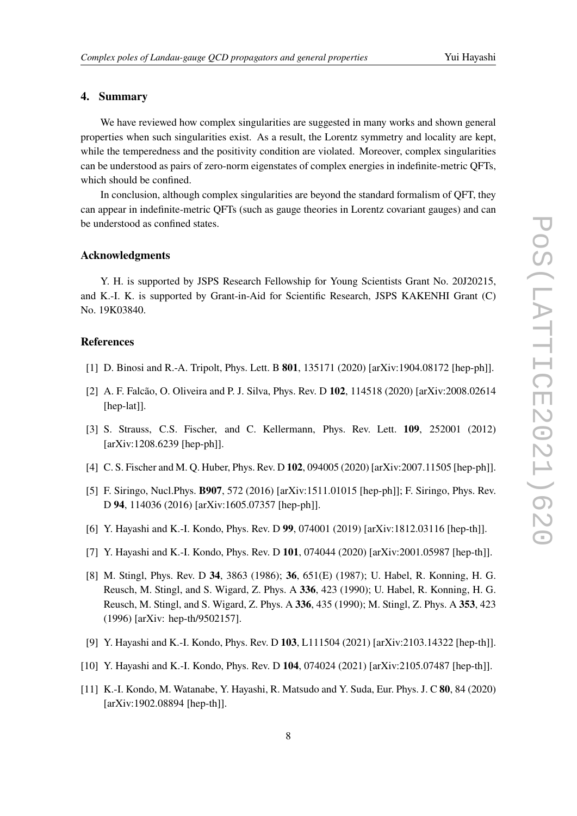### **4. Summary**

We have reviewed how complex singularities are suggested in many works and shown general properties when such singularities exist. As a result, the Lorentz symmetry and locality are kept, while the temperedness and the positivity condition are violated. Moreover, complex singularities can be understood as pairs of zero-norm eigenstates of complex energies in indefinite-metric QFTs, which should be confined.

In conclusion, although complex singularities are beyond the standard formalism of QFT, they can appear in indefinite-metric QFTs (such as gauge theories in Lorentz covariant gauges) and can be understood as confined states.

#### **Acknowledgments**

Y. H. is supported by JSPS Research Fellowship for Young Scientists Grant No. 20J20215, and K.-I. K. is supported by Grant-in-Aid for Scientific Research, JSPS KAKENHI Grant (C) No. 19K03840.

### **References**

- <span id="page-7-0"></span>[1] D. Binosi and R.-A. Tripolt, Phys. Lett. B **801**, 135171 (2020) [arXiv:1904.08172 [hep-ph]].
- <span id="page-7-1"></span>[2] A. F. Falcão, O. Oliveira and P. J. Silva, Phys. Rev. D **102**, 114518 (2020) [arXiv:2008.02614 [hep-lat]].
- <span id="page-7-4"></span>[3] S. Strauss, C.S. Fischer, and C. Kellermann, Phys. Rev. Lett. **109**, 252001 (2012) [arXiv:1208.6239 [hep-ph]].
- <span id="page-7-5"></span>[4] C. S. Fischer and M. Q. Huber, Phys. Rev. D **102**, 094005 (2020) [arXiv:2007.11505 [hep-ph]].
- <span id="page-7-2"></span>[5] F. Siringo, Nucl.Phys. **B907**, 572 (2016) [arXiv:1511.01015 [hep-ph]]; F. Siringo, Phys. Rev. D **94**, 114036 (2016) [arXiv:1605.07357 [hep-ph]].
- <span id="page-7-9"></span>[6] Y. Hayashi and K.-I. Kondo, Phys. Rev. D **99**, 074001 (2019) [arXiv:1812.03116 [hep-th]].
- <span id="page-7-3"></span>[7] Y. Hayashi and K.-I. Kondo, Phys. Rev. D **101**, 074044 (2020) [arXiv:2001.05987 [hep-th]].
- <span id="page-7-6"></span>[8] M. Stingl, Phys. Rev. D **34**, 3863 (1986); **36**, 651(E) (1987); U. Habel, R. Konning, H. G. Reusch, M. Stingl, and S. Wigard, Z. Phys. A **336**, 423 (1990); U. Habel, R. Konning, H. G. Reusch, M. Stingl, and S. Wigard, Z. Phys. A **336**, 435 (1990); M. Stingl, Z. Phys. A **353**, 423 (1996) [arXiv: hep-th/9502157].
- <span id="page-7-7"></span>[9] Y. Hayashi and K.-I. Kondo, Phys. Rev. D **103**, L111504 (2021) [arXiv:2103.14322 [hep-th]].
- <span id="page-7-8"></span>[10] Y. Hayashi and K.-I. Kondo, Phys. Rev. D **104**, 074024 (2021) [arXiv:2105.07487 [hep-th]].
- <span id="page-7-10"></span>[11] K.-I. Kondo, M. Watanabe, Y. Hayashi, R. Matsudo and Y. Suda, Eur. Phys. J. C **80**, 84 (2020) [arXiv:1902.08894 [hep-th]].